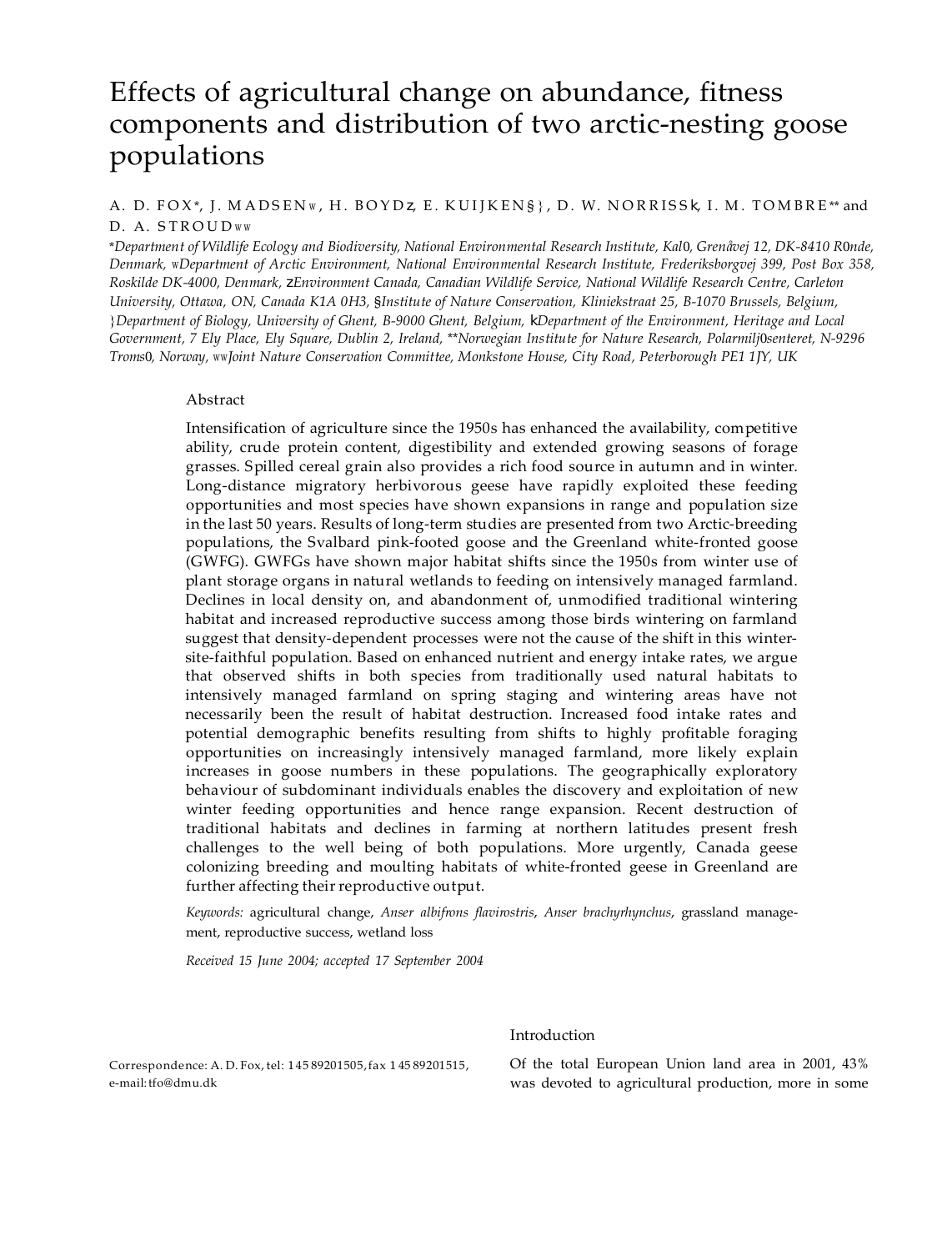# Effects of agricultural change on abundance, fitness components and distribution of two arctic-nesting goose populations

# A. D. FOX\*, J. MADSENW, H. BOYDz, E. KUIJKEN§}, D. W. NORRISSk, I. M. TOMBRE\*\* and D. A. STROUDww

\*Department of Wildlife Ecology and Biodiversity, National Environmental Research Institute, Kal0, Grenåvej 12, DK-8410 R0nde, *Denmark,* w*Department of Arctic Environment, National Environmental Research Institute, Frederiksborgvej 399, Post Box 358, Roskilde DK-4000, Denmark,* z*Environment Canada, Canadian Wildlife Service, National Wildlife Research Centre, Carleton University, Ottawa, ON, Canada K1A 0H3,* §*Institute of Nature Conservation, Kliniekstraat 25, B-1070 Brussels, Belgium, {Department of Biology, University of Ghent, B-9000 Ghent, Belgium, kDepartment of the Environment, Heritage and Local* Government, 7 Ely Place, Ely Square, Dublin 2, Ireland, \*\*Norwegian Institute for Nature Research, Polarmilj0senteret, N-9296 *Troms*0*, Norway,* ww*Joint Nature Conservation Committee, Monkstone House, City Road, Peterborough PE1 1JY, UK*

## Abstract

Intensification of agriculture since the 1950s has enhanced the availability, competitive ability, crude protein content, digestibility and extended growing seasons of forage grasses. Spilled cereal grain also provides a rich food source in autumn and in winter. Long-distance migratory herbivorous geese have rapidly exploited these feeding opportunities and most species have shown expansions in range and population size in the last 50 years. Results of long-term studies are presented from two Arctic-breeding populations, the Svalbard pink-footed goose and the Greenland white-fronted goose (GWFG). GWFGs have shown major habitat shifts since the 1950s from winter use of plant storage organs in natural wetlands to feeding on intensively managed farmland. Declines in local density on, and abandonment of, unmodified traditional wintering habitat and increased reproductive success among those birds wintering on farmland suggest that density-dependent processes were not the cause of the shift in this wintersite-faithful population. Based on enhanced nutrient and energy intake rates, we argue that observed shifts in both species from traditionally used natural habitats to intensively managed farmland on spring staging and wintering areas have not necessarily been the result of habitat destruction. Increased food intake rates and potential demographic benefits resulting from shifts to highly profitable foraging opportunities on increasingly intensively managed farmland, more likely explain increases in goose numbers in these populations. The geographically exploratory behaviour of subdominant individuals enables the discovery and exploitation of new winter feeding opportunities and hence range expansion. Recent destruction of traditional habitats and declines in farming at northern latitudes present fresh challenges to the well being of both populations. More urgently, Canada geese colonizing breeding and moulting habitats of white-fronted geese in Greenland are further affecting their reproductive output.

*Keywords:* agricultural change, *Anser albifrons flavirostris*, *Anser brachyrhynchus*, grassland management, reproductive success, wetland loss

*Received 15 June 2004; accepted 17 September 2004*

# Introduction

Correspondence: A. D. Fox, tel: 145 89201505,fax 145 89201515, e-mail[:tfo@dmu.dk](mailto:tfo@dmu.dk)

Of the total European Union land area in 2001, 43% was devoted to agricultural production, more in some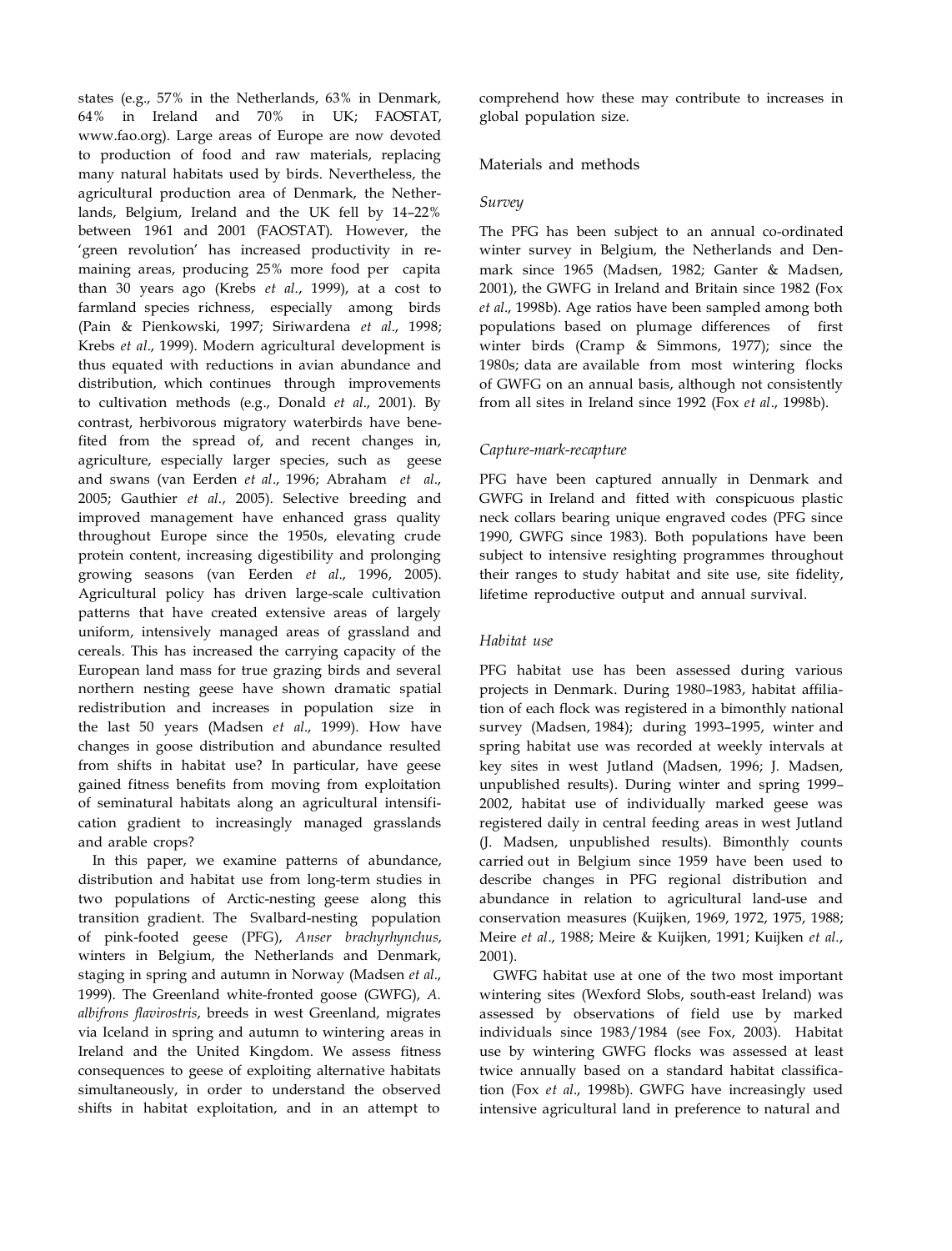states (e.g., 57% in the Netherlands, 63% in Denmark, 64% in Ireland and 70% in UK; FAOSTAT, www.fao.org). Large areas of Europe are now devoted to production of food and raw materials, replacing many natural habitats used by birds. Nevertheless, the agricultural production area of Denmark, the Netherlands, Belgium, Ireland and the UK fell by 14–22% between 1961 and 2001 (FAOSTAT). However, the 'green revolution' has increased productivity in remaining areas, producing 25% more food per capita than 30 years ago (Krebs *et al*., 1999), at a cost to farmland species richness, especially among birds (Pain & Pienkowski, 1997; Siriwardena *et al*., 1998; Krebs *et al*., 1999). Modern agricultural development is thus equated with reductions in avian abundance and distribution, which continues through improvements to cultivation methods (e.g., Donald *et al*., 2001). By contrast, herbivorous migratory waterbirds have benefited from the spread of, and recent changes in, agriculture, especially larger species, such as geese and swans (van Eerden *et al*., 1996; Abraham *et al*., 2005; Gauthier *et al*., 2005). Selective breeding and improved management have enhanced grass quality throughout Europe since the 1950s, elevating crude protein content, increasing digestibility and prolonging growing seasons (van Eerden *et al*., 1996, 2005). Agricultural policy has driven large-scale cultivation patterns that have created extensive areas of largely uniform, intensively managed areas of grassland and cereals. This has increased the carrying capacity of the European land mass for true grazing birds and several northern nesting geese have shown dramatic spatial redistribution and increases in population size in the last 50 years (Madsen *et al*., 1999). How have changes in goose distribution and abundance resulted from shifts in habitat use? In particular, have geese gained fitness benefits from moving from exploitation of seminatural habitats along an agricultural intensification gradient to increasingly managed grasslands and arable crops?

In this paper, we examine patterns of abundance, distribution and habitat use from long-term studies in two populations of Arctic-nesting geese along this transition gradient. The Svalbard-nesting population of pink-footed geese (PFG), *Anser brachyrhynchus*, winters in Belgium, the Netherlands and Denmark, staging in spring and autumn in Norway (Madsen *et al*., 1999). The Greenland white-fronted goose (GWFG), *A. albifrons flavirostris*, breeds in west Greenland, migrates via Iceland in spring and autumn to wintering areas in Ireland and the United Kingdom. We assess fitness consequences to geese of exploiting alternative habitats simultaneously, in order to understand the observed shifts in habitat exploitation, and in an attempt to

comprehend how these may contribute to increases in global population size.

## Materials and methods

#### *Survey*

The PFG has been subject to an annual co-ordinated winter survey in Belgium, the Netherlands and Denmark since 1965 (Madsen, 1982; Ganter & Madsen, 2001), the GWFG in Ireland and Britain since 1982 (Fox *et al*., 1998b). Age ratios have been sampled among both populations based on plumage differences of first winter birds (Cramp & Simmons, 1977); since the 1980s; data are available from most wintering flocks of GWFG on an annual basis, although not consistently from all sites in Ireland since 1992 (Fox *et al*., 1998b).

### *Capture-mark-recapture*

PFG have been captured annually in Denmark and GWFG in Ireland and fitted with conspicuous plastic neck collars bearing unique engraved codes (PFG since 1990, GWFG since 1983). Both populations have been subject to intensive resighting programmes throughout their ranges to study habitat and site use, site fidelity, lifetime reproductive output and annual survival.

#### *Habitat use*

PFG habitat use has been assessed during various projects in Denmark. During 1980–1983, habitat affiliation of each flock was registered in a bimonthly national survey (Madsen, 1984); during 1993–1995, winter and spring habitat use was recorded at weekly intervals at key sites in west Jutland (Madsen, 1996; J. Madsen, unpublished results). During winter and spring 1999– 2002, habitat use of individually marked geese was registered daily in central feeding areas in west Jutland (J. Madsen, unpublished results). Bimonthly counts carried out in Belgium since 1959 have been used to describe changes in PFG regional distribution and abundance in relation to agricultural land-use and conservation measures (Kuijken, 1969, 1972, 1975, 1988; Meire *et al*., 1988; Meire & Kuijken, 1991; Kuijken *et al*., 2001).

GWFG habitat use at one of the two most important wintering sites (Wexford Slobs, south-east Ireland) was assessed by observations of field use by marked individuals since 1983/1984 (see Fox, 2003). Habitat use by wintering GWFG flocks was assessed at least twice annually based on a standard habitat classification (Fox *et al*., 1998b). GWFG have increasingly used intensive agricultural land in preference to natural and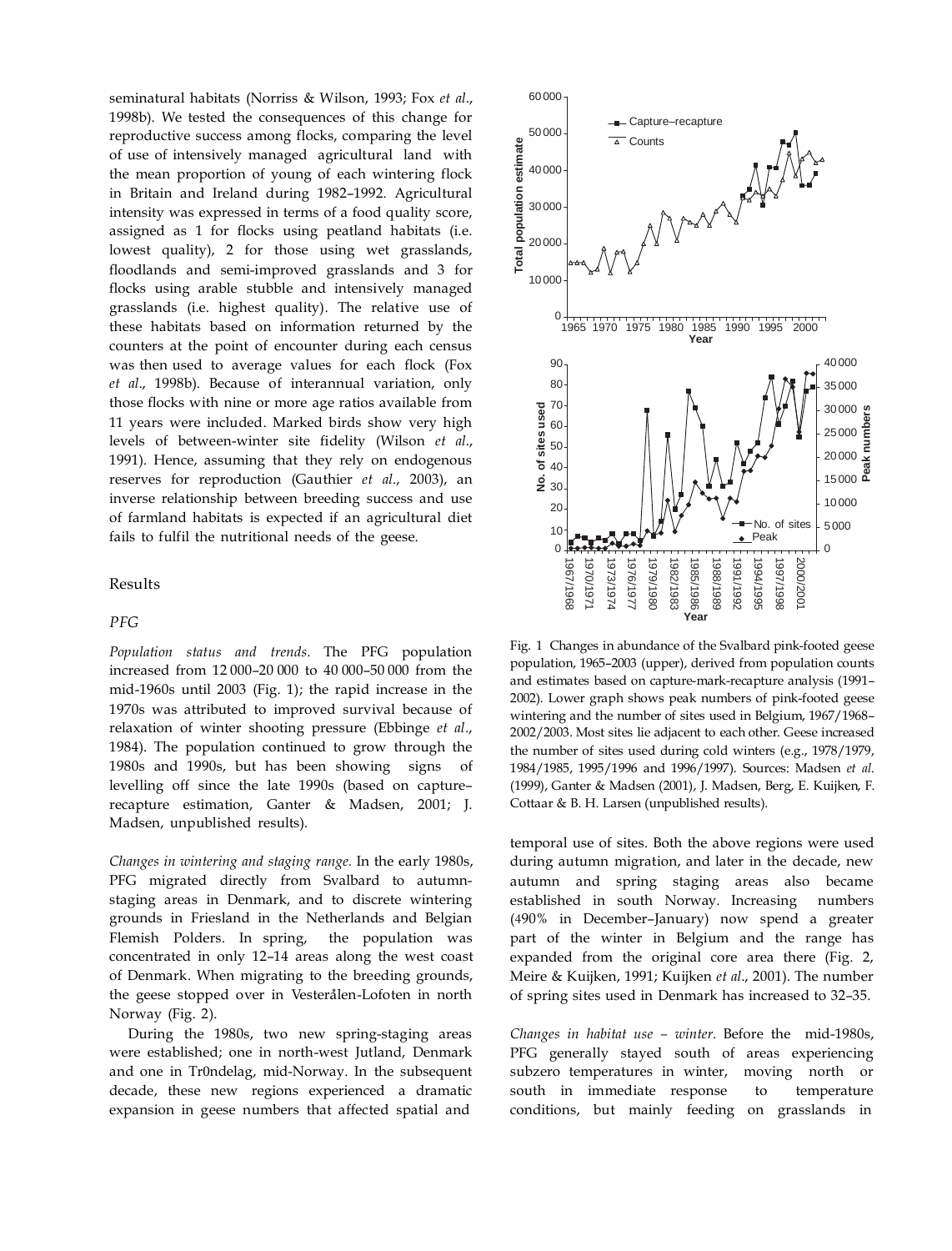seminatural habitats (Norriss & Wilson, 1993; Fox *et al*., 1998b). We tested the consequences of this change for reproductive success among flocks, comparing the level of use of intensively managed agricultural land with the mean proportion of young of each wintering flock in Britain and Ireland during 1982–1992. Agricultural intensity was expressed in terms of a food quality score, assigned as 1 for flocks using peatland habitats (i.e. lowest quality), 2 for those using wet grasslands, floodlands and semi-improved grasslands and 3 for flocks using arable stubble and intensively managed grasslands (i.e. highest quality). The relative use of these habitats based on information returned by the counters at the point of encounter during each census was then used to average values for each flock (Fox *et al*., 1998b). Because of interannual variation, only those flocks with nine or more age ratios available from 11 years were included. Marked birds show very high levels of between-winter site fidelity (Wilson *et al*., 1991). Hence, assuming that they rely on endogenous reserves for reproduction (Gauthier *et al*., 2003), an inverse relationship between breeding success and use of farmland habitats is expected if an agricultural diet fails to fulfil the nutritional needs of the geese.

## Results

#### *PFG*

*Population status and trends.* The PFG population increased from 12 000–20 000 to 40 000–50 000 from the mid-1960s until 2003 (Fig. 1); the rapid increase in the 1970s was attributed to improved survival because of relaxation of winter shooting pressure (Ebbinge *et al*., 1984). The population continued to grow through the 1980s and 1990s, but has been showing signs of levelling off since the late 1990s (based on capture– recapture estimation, Ganter & Madsen, 2001; J. Madsen, unpublished results).

*Changes in wintering and staging range.* In the early 1980s, PFG migrated directly from Svalbard to autumnstaging areas in Denmark, and to discrete wintering grounds in Friesland in the Netherlands and Belgian Flemish Polders. In spring, the population was concentrated in only 12–14 areas along the west coast of Denmark. When migrating to the breeding grounds, the geese stopped over in Vesterålen-Lofoten in north Norway (Fig. 2).

During the 1980s, two new spring-staging areas were established; one in north-west Jutland, Denmark and one in Tr0ndelag, mid-Norway. In the subsequent decade, these new regions experienced a dramatic expansion in geese numbers that affected spatial and



Fig. 1 Changes in abundance of the Svalbard pink-footed geese population, 1965–2003 (upper), derived from population counts and estimates based on capture-mark-recapture analysis (1991– 2002). Lower graph shows peak numbers of pink-footed geese wintering and the number of sites used in Belgium, 1967/1968– 2002/2003. Most sites lie adjacent to each other. Geese increased the number of sites used during cold winters (e.g., 1978/1979, 1984/1985, 1995/1996 and 1996/1997). Sources: Madsen *et al*. (1999), Ganter & Madsen (2001), J. Madsen, Berg, E. Kuijken, F. Cottaar & B. H. Larsen (unpublished results).

temporal use of sites. Both the above regions were used during autumn migration, and later in the decade, new autumn and spring staging areas also became established in south Norway. Increasing numbers (490% in December–January) now spend a greater part of the winter in Belgium and the range has expanded from the original core area there (Fig. 2, Meire & Kuijken, 1991; Kuijken *et al*., 2001). The number of spring sites used in Denmark has increased to 32–35.

*Changes in habitat use – winter.* Before the mid-1980s, PFG generally stayed south of areas experiencing subzero temperatures in winter, moving north or south in immediate response to temperature conditions, but mainly feeding on grasslands in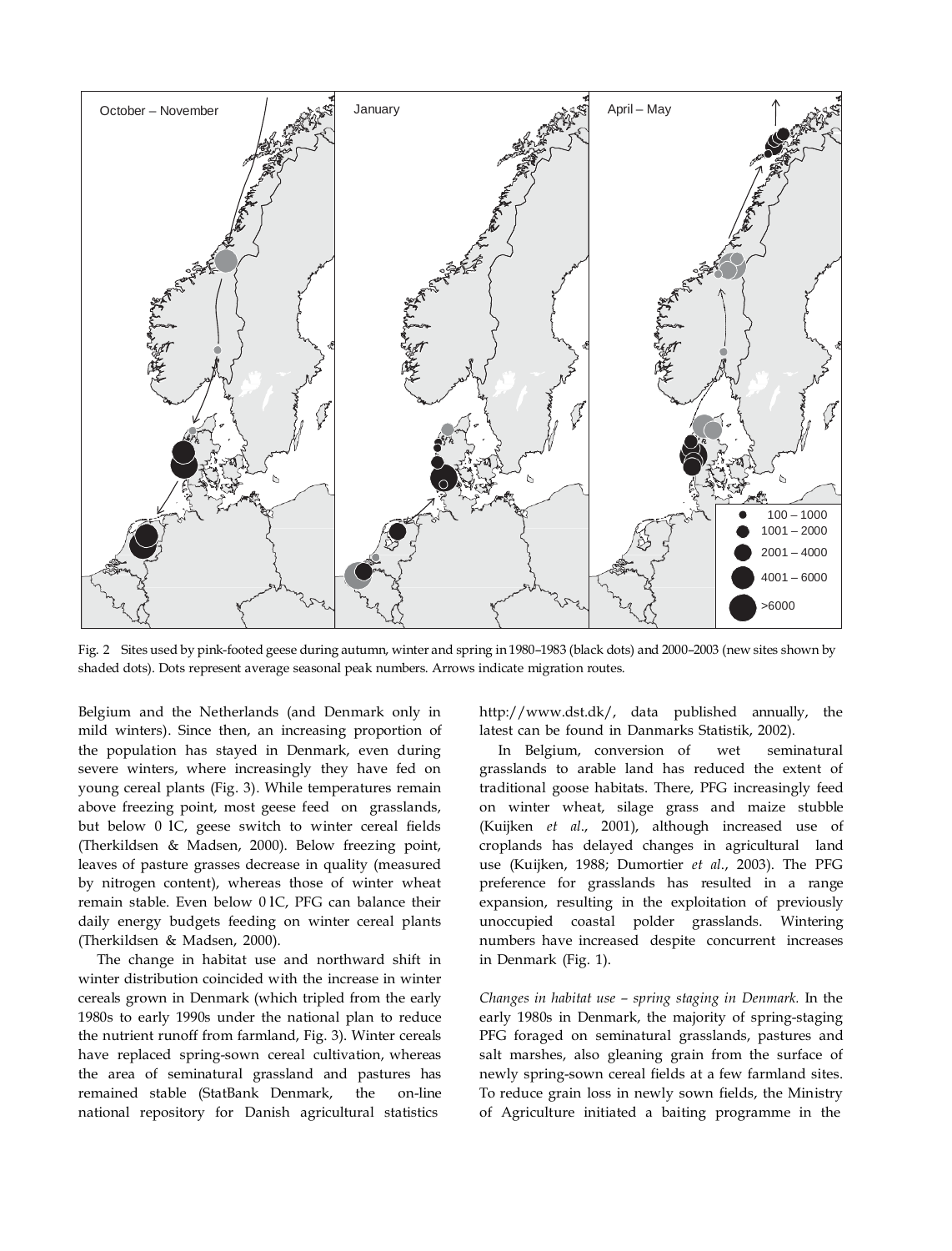

Fig. 2 Sites used by pink-footed geese during autumn, winter and spring in 1980–1983 (black dots) and 2000–2003 (new sites shown by shaded dots). Dots represent average seasonal peak numbers. Arrows indicate migration routes.

Belgium and the Netherlands (and Denmark only in mild winters). Since then, an increasing proportion of the population has stayed in Denmark, even during severe winters, where increasingly they have fed on young cereal plants (Fig. 3). While temperatures remain above freezing point, most geese feed on grasslands, but below 0 1C, geese switch to winter cereal fields (Therkildsen & Madsen, 2000). Below freezing point, leaves of pasture grasses decrease in quality (measured by nitrogen content), whereas those of winter wheat remain stable. Even below 0 1C, PFG can balance their daily energy budgets feeding on winter cereal plants (Therkildsen & Madsen, 2000).

The change in habitat use and northward shift in winter distribution coincided with the increase in winter cereals grown in Denmark (which tripled from the early 1980s to early 1990s under the national plan to reduce the nutrient runoff from farmland, Fig. 3). Winter cereals have replaced spring-sown cereal cultivation, whereas the area of seminatural grassland and pastures has remained stable (StatBank Denmark, the on-line national repository for Danish agricultural statistics

[http://www.dst.dk/,](http://www.dst.dk/) data published annually, the latest can be found in Danmarks Statistik, 2002).

In Belgium, conversion of wet seminatural grasslands to arable land has reduced the extent of traditional goose habitats. There, PFG increasingly feed on winter wheat, silage grass and maize stubble (Kuijken *et al*., 2001), although increased use of croplands has delayed changes in agricultural land use (Kuijken, 1988; Dumortier *et al*., 2003). The PFG preference for grasslands has resulted in a range expansion, resulting in the exploitation of previously unoccupied coastal polder grasslands. Wintering numbers have increased despite concurrent increases in Denmark (Fig. 1).

*Changes in habitat use – spring staging in Denmark.* In the early 1980s in Denmark, the majority of spring-staging PFG foraged on seminatural grasslands, pastures and salt marshes, also gleaning grain from the surface of newly spring-sown cereal fields at a few farmland sites. To reduce grain loss in newly sown fields, the Ministry of Agriculture initiated a baiting programme in the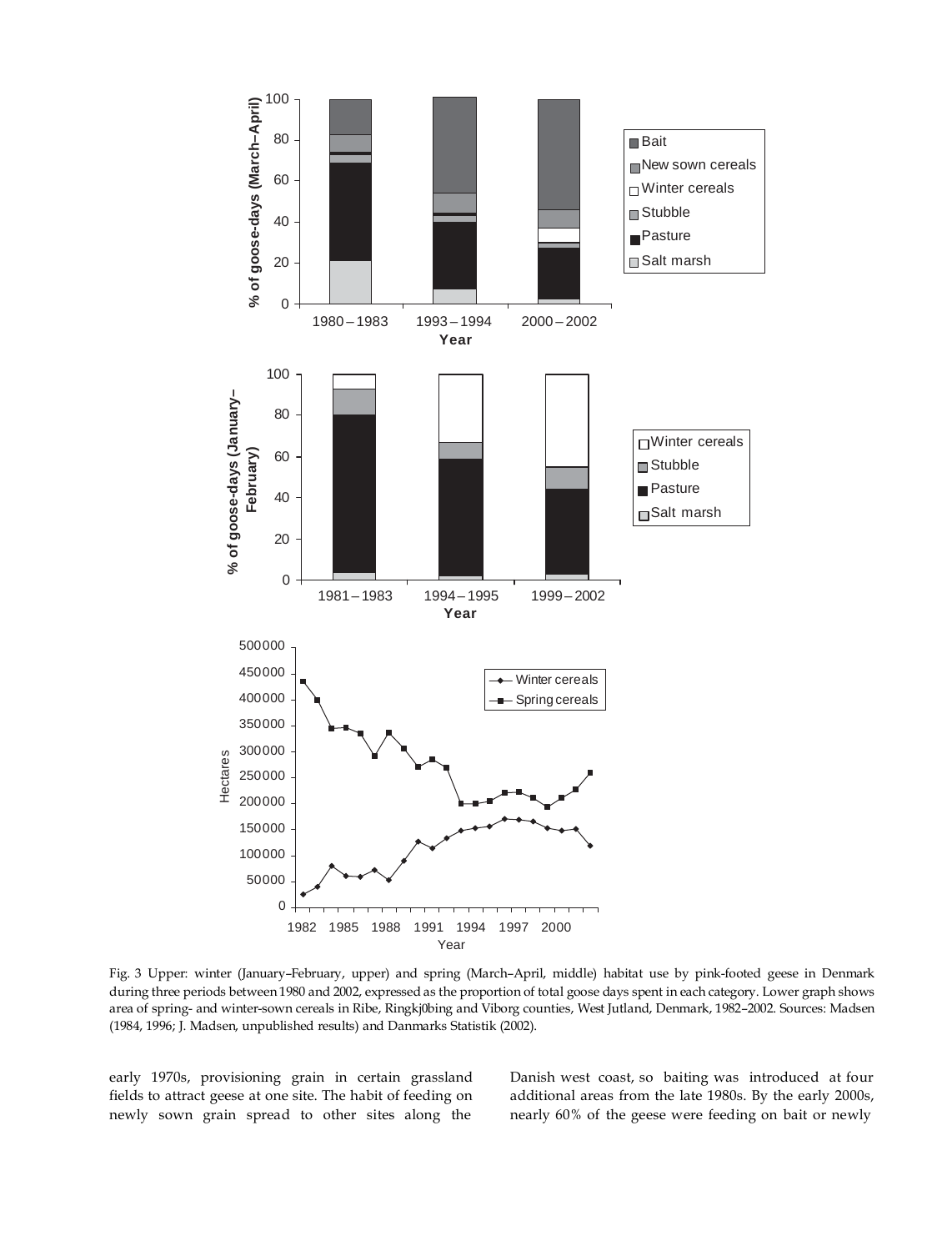

Fig. 3 Upper: winter (January–February, upper) and spring (March–April, middle) habitat use by pink-footed geese in Denmark during three periods between 1980 and 2002, expressed as the proportion of total goose days spent in each category. Lower graph shows area of spring- and winter-sown cereals in Ribe, Ringkj0bing and Viborg counties, West Jutland, Denmark, 1982–2002. Sources: Madsen (1984, 1996; J. Madsen, unpublished results) and Danmarks Statistik (2002).

early 1970s, provisioning grain in certain grassland fields to attract geese at one site. The habit of feeding on newly sown grain spread to other sites along the Danish west coast, so baiting was introduced at four additional areas from the late 1980s. By the early 2000s, nearly 60% of the geese were feeding on bait or newly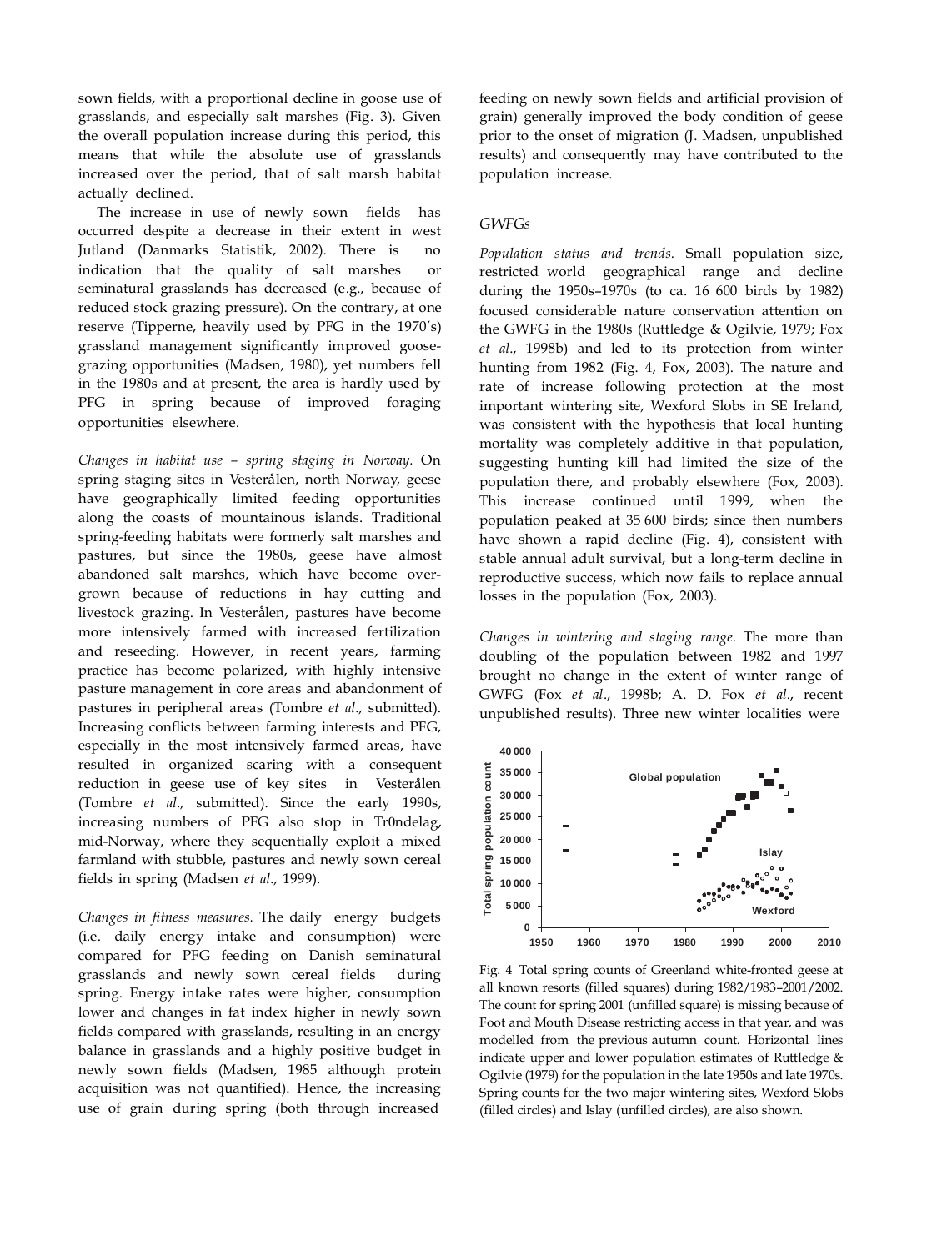sown fields, with a proportional decline in goose use of grasslands, and especially salt marshes (Fig. 3). Given the overall population increase during this period, this means that while the absolute use of grasslands increased over the period, that of salt marsh habitat actually declined.

The increase in use of newly sown fields has occurred despite a decrease in their extent in west Jutland (Danmarks Statistik, 2002). There is no indication that the quality of salt marshes or seminatural grasslands has decreased (e.g., because of reduced stock grazing pressure). On the contrary, at one reserve (Tipperne, heavily used by PFG in the 1970's) grassland management significantly improved goosegrazing opportunities (Madsen, 1980), yet numbers fell in the 1980s and at present, the area is hardly used by PFG in spring because of improved foraging opportunities elsewhere.

*Changes in habitat use – spring staging in Norway.* On spring staging sites in Vesterålen, north Norway, geese have geographically limited feeding opportunities along the coasts of mountainous islands. Traditional spring-feeding habitats were formerly salt marshes and pastures, but since the 1980s, geese have almost abandoned salt marshes, which have become overgrown because of reductions in hay cutting and livestock grazing. In Vesterålen, pastures have become more intensively farmed with increased fertilization and reseeding. However, in recent years, farming practice has become polarized, with highly intensive pasture management in core areas and abandonment of pastures in peripheral areas (Tombre *et al*., submitted). Increasing conflicts between farming interests and PFG, especially in the most intensively farmed areas, have resulted in organized scaring with a consequent reduction in geese use of key sites in Vesterålen (Tombre *et al*., submitted). Since the early 1990s, increasing numbers of PFG also stop in Tr0ndelag, mid-Norway, where they sequentially exploit a mixed farmland with stubble, pastures and newly sown cereal fields in spring (Madsen *et al*., 1999).

*Changes in fitness measures.* The daily energy budgets (i.e. daily energy intake and consumption) were compared for PFG feeding on Danish seminatural grasslands and newly sown cereal fields during spring. Energy intake rates were higher, consumption lower and changes in fat index higher in newly sown fields compared with grasslands, resulting in an energy balance in grasslands and a highly positive budget in newly sown fields (Madsen, 1985 although protein acquisition was not quantified). Hence, the increasing use of grain during spring (both through increased

feeding on newly sown fields and artificial provision of grain) generally improved the body condition of geese prior to the onset of migration (J. Madsen, unpublished results) and consequently may have contributed to the population increase.

# *GWFGs*

*Population status and trends.* Small population size, restricted world geographical range and decline during the 1950s–1970s (to ca. 16 600 birds by 1982) focused considerable nature conservation attention on the GWFG in the 1980s (Ruttledge & Ogilvie, 1979; Fox *et al*., 1998b) and led to its protection from winter hunting from 1982 (Fig. 4, Fox, 2003). The nature and rate of increase following protection at the most important wintering site, Wexford Slobs in SE Ireland, was consistent with the hypothesis that local hunting mortality was completely additive in that population, suggesting hunting kill had limited the size of the population there, and probably elsewhere (Fox, 2003). This increase continued until 1999, when the population peaked at 35 600 birds; since then numbers have shown a rapid decline (Fig. 4), consistent with stable annual adult survival, but a long-term decline in reproductive success, which now fails to replace annual losses in the population (Fox, 2003).

*Changes in wintering and staging range.* The more than doubling of the population between 1982 and 1997 brought no change in the extent of winter range of GWFG (Fox *et al*., 1998b; A. D. Fox *et al*., recent unpublished results). Three new winter localities were



Fig. 4 Total spring counts of Greenland white-fronted geese at all known resorts (filled squares) during 1982/1983–2001/2002. The count for spring 2001 (unfilled square) is missing because of Foot and Mouth Disease restricting access in that year, and was modelled from the previous autumn count. Horizontal lines indicate upper and lower population estimates of Ruttledge & Ogilvie (1979) for the population in the late 1950s and late 1970s. Spring counts for the two major wintering sites, Wexford Slobs (filled circles) and Islay (unfilled circles), are also shown.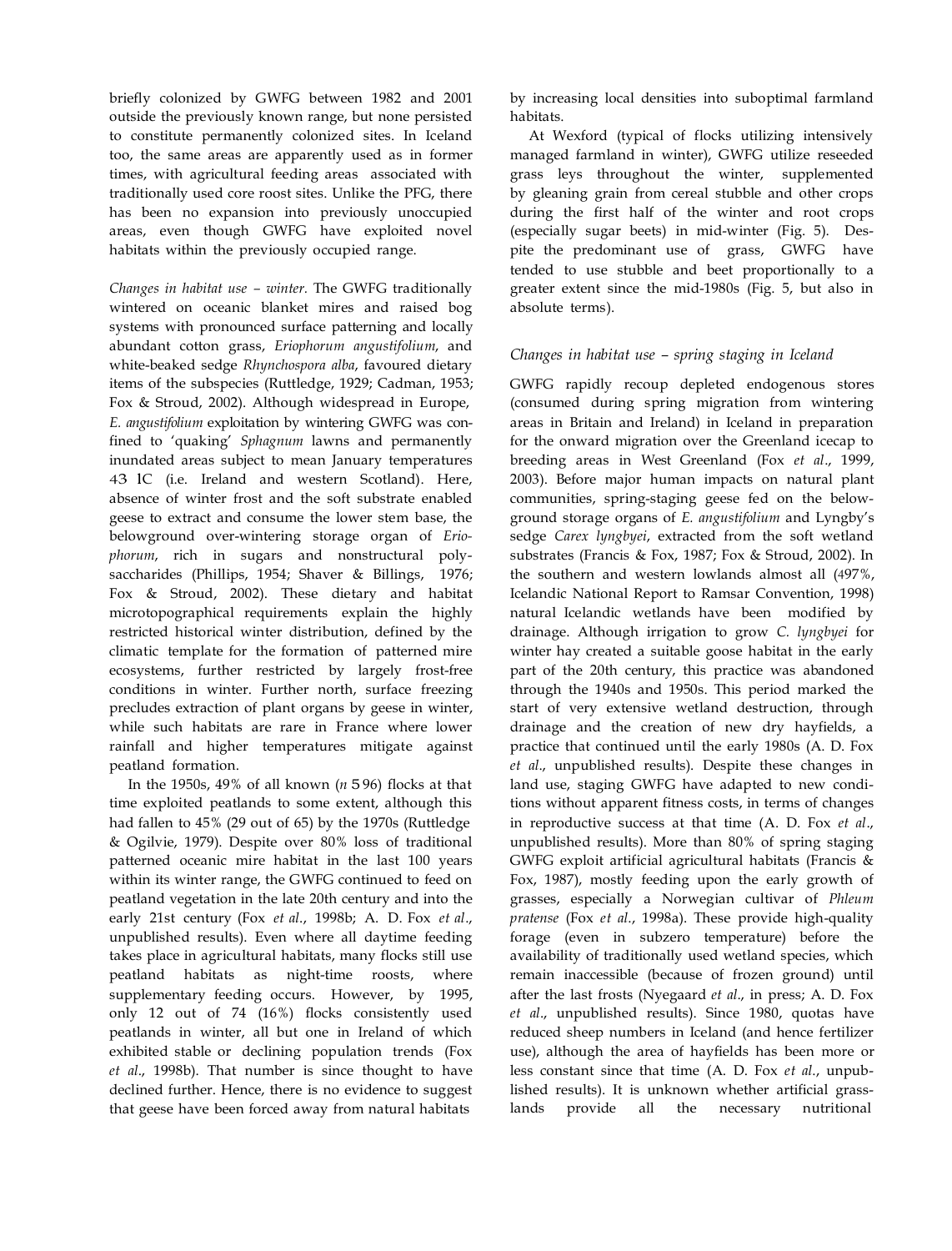briefly colonized by GWFG between 1982 and 2001 outside the previously known range, but none persisted to constitute permanently colonized sites. In Iceland too, the same areas are apparently used as in former times, with agricultural feeding areas associated with traditionally used core roost sites. Unlike the PFG, there has been no expansion into previously unoccupied areas, even though GWFG have exploited novel habitats within the previously occupied range.

*Changes in habitat use – winter.* The GWFG traditionally wintered on oceanic blanket mires and raised bog systems with pronounced surface patterning and locally abundant cotton grass, *Eriophorum angustifolium*, and white-beaked sedge *Rhynchospora alba*, favoured dietary items of the subspecies (Ruttledge, 1929; Cadman, 1953; Fox & Stroud, 2002). Although widespread in Europe, *E. angustifolium* exploitation by wintering GWFG was confined to 'quaking' *Sphagnum* lawns and permanently inundated areas subject to mean January temperatures 43 1C (i.e. Ireland and western Scotland). Here, absence of winter frost and the soft substrate enabled geese to extract and consume the lower stem base, the belowground over-wintering storage organ of *Eriophorum*, rich in sugars and nonstructural polysaccharides (Phillips, 1954; Shaver & Billings, 1976; Fox & Stroud, 2002). These dietary and habitat microtopographical requirements explain the highly restricted historical winter distribution, defined by the climatic template for the formation of patterned mire ecosystems, further restricted by largely frost-free conditions in winter. Further north, surface freezing precludes extraction of plant organs by geese in winter, while such habitats are rare in France where lower rainfall and higher temperatures mitigate against peatland formation.

In the 1950s, 49% of all known (*n* 5 96) flocks at that time exploited peatlands to some extent, although this had fallen to 45% (29 out of 65) by the 1970s (Ruttledge & Ogilvie, 1979). Despite over 80% loss of traditional patterned oceanic mire habitat in the last 100 years within its winter range, the GWFG continued to feed on peatland vegetation in the late 20th century and into the early 21st century (Fox *et al*., 1998b; A. D. Fox *et al*., unpublished results). Even where all daytime feeding takes place in agricultural habitats, many flocks still use peatland habitats as night-time roosts, where supplementary feeding occurs. However, by 1995, only 12 out of 74 (16%) flocks consistently used peatlands in winter, all but one in Ireland of which exhibited stable or declining population trends (Fox *et al*., 1998b). That number is since thought to have declined further. Hence, there is no evidence to suggest that geese have been forced away from natural habitats

by increasing local densities into suboptimal farmland habitats.

At Wexford (typical of flocks utilizing intensively managed farmland in winter), GWFG utilize reseeded grass leys throughout the winter, supplemented by gleaning grain from cereal stubble and other crops during the first half of the winter and root crops (especially sugar beets) in mid-winter (Fig. 5). Despite the predominant use of grass, GWFG have tended to use stubble and beet proportionally to a greater extent since the mid-1980s (Fig. 5, but also in absolute terms).

# *Changes in habitat use – spring staging in Iceland*

GWFG rapidly recoup depleted endogenous stores (consumed during spring migration from wintering areas in Britain and Ireland) in Iceland in preparation for the onward migration over the Greenland icecap to breeding areas in West Greenland (Fox *et al*., 1999, 2003). Before major human impacts on natural plant communities, spring-staging geese fed on the belowground storage organs of *E. angustifolium* and Lyngby's sedge *Carex lyngbyei*, extracted from the soft wetland substrates (Francis & Fox, 1987; Fox & Stroud, 2002). In the southern and western lowlands almost all (497%, Icelandic National Report to Ramsar Convention, 1998) natural Icelandic wetlands have been modified by drainage. Although irrigation to grow *C. lyngbyei* for winter hay created a suitable goose habitat in the early part of the 20th century, this practice was abandoned through the 1940s and 1950s. This period marked the start of very extensive wetland destruction, through drainage and the creation of new dry hayfields, a practice that continued until the early 1980s (A. D. Fox *et al*., unpublished results). Despite these changes in land use, staging GWFG have adapted to new conditions without apparent fitness costs, in terms of changes in reproductive success at that time (A. D. Fox *et al*., unpublished results). More than 80% of spring staging GWFG exploit artificial agricultural habitats (Francis & Fox, 1987), mostly feeding upon the early growth of grasses, especially a Norwegian cultivar of *Phleum pratense* (Fox *et al*., 1998a). These provide high-quality forage (even in subzero temperature) before the availability of traditionally used wetland species, which remain inaccessible (because of frozen ground) until after the last frosts (Nyegaard *et al*., in press; A. D. Fox *et al*., unpublished results). Since 1980, quotas have reduced sheep numbers in Iceland (and hence fertilizer use), although the area of hayfields has been more or less constant since that time (A. D. Fox *et al*., unpublished results). It is unknown whether artificial grasslands provide all the necessary nutritional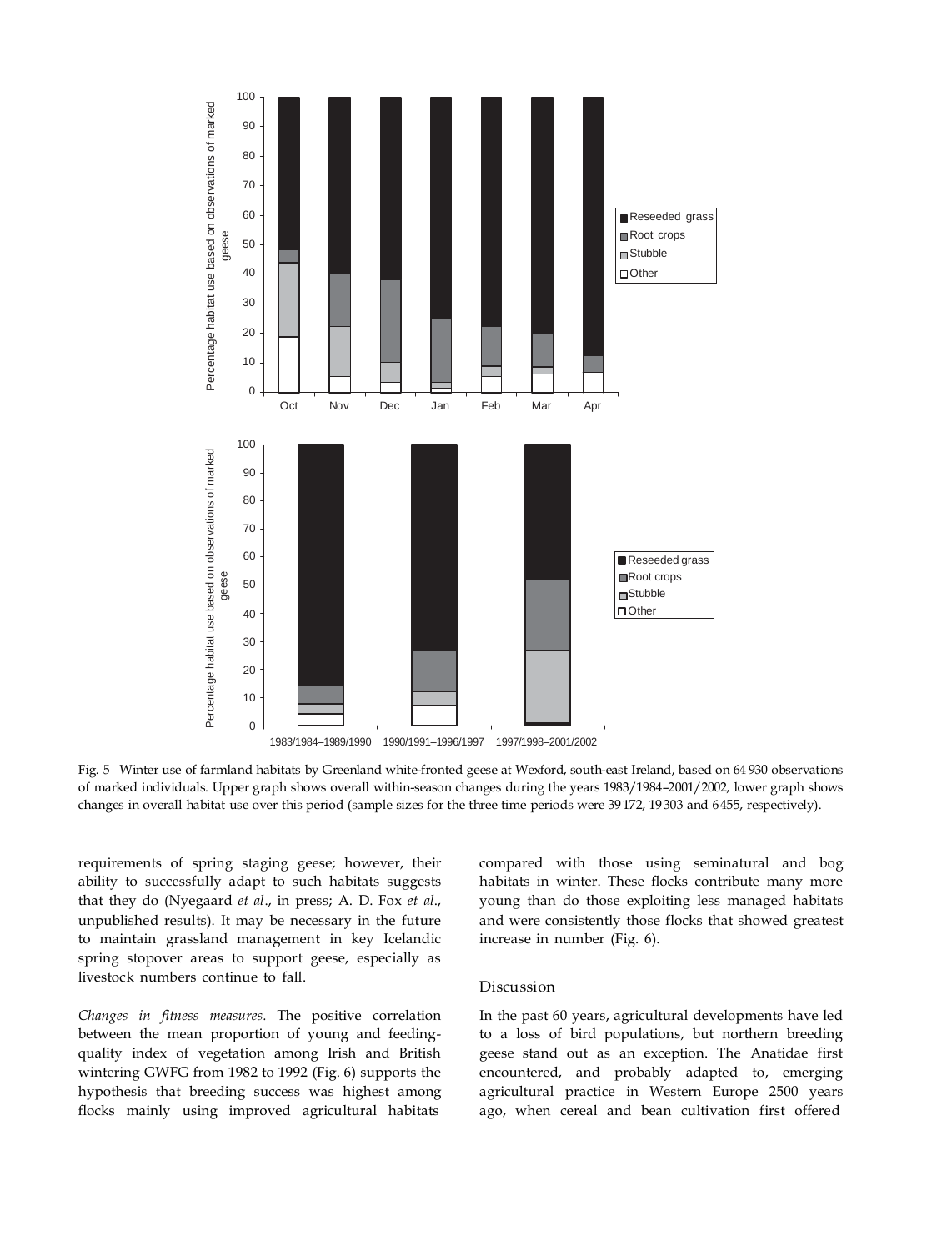

Fig. 5 Winter use of farmland habitats by Greenland white-fronted geese at Wexford, south-east Ireland, based on 64 930 observations of marked individuals. Upper graph shows overall within-season changes during the years 1983/1984–2001/2002, lower graph shows changes in overall habitat use over this period (sample sizes for the three time periods were 39 172, 19 303 and 6455, respectively).

requirements of spring staging geese; however, their ability to successfully adapt to such habitats suggests that they do (Nyegaard *et al*., in press; A. D. Fox *et al*., unpublished results). It may be necessary in the future to maintain grassland management in key Icelandic spring stopover areas to support geese, especially as livestock numbers continue to fall.

*Changes in fitness measures.* The positive correlation between the mean proportion of young and feedingquality index of vegetation among Irish and British wintering GWFG from 1982 to 1992 (Fig. 6) supports the hypothesis that breeding success was highest among flocks mainly using improved agricultural habitats

compared with those using seminatural and bog habitats in winter. These flocks contribute many more young than do those exploiting less managed habitats and were consistently those flocks that showed greatest increase in number (Fig. 6).

#### Discussion

In the past 60 years, agricultural developments have led to a loss of bird populations, but northern breeding geese stand out as an exception. The Anatidae first encountered, and probably adapted to, emerging agricultural practice in Western Europe 2500 years ago, when cereal and bean cultivation first offered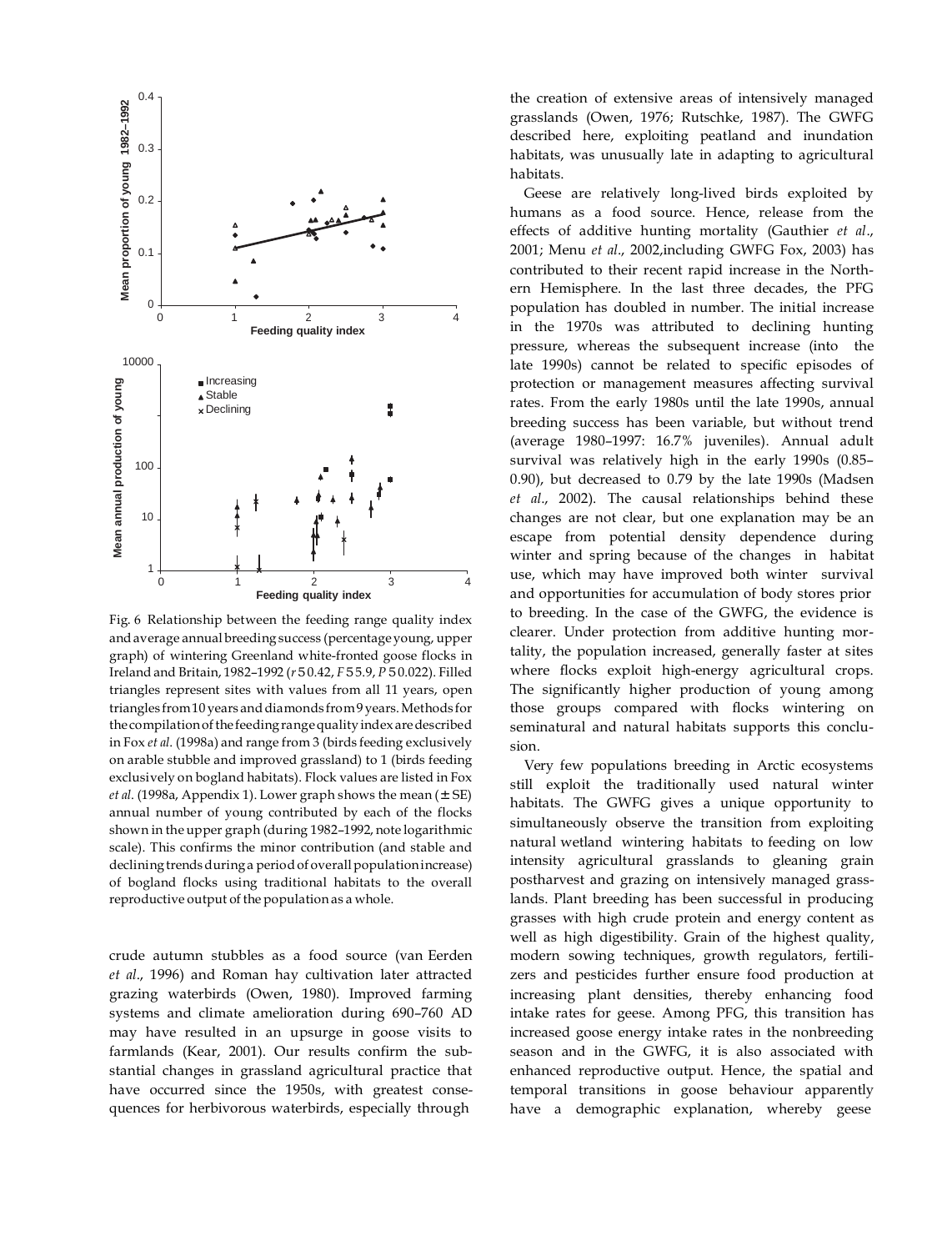

Fig. 6 Relationship between the feeding range quality index andaverage annual breeding success (percentageyoung, upper graph) of wintering Greenland white-fronted goose flocks in Ireland and Britain, 1982–1992 (*r*50.42, *F*55.9, *P* 50.022). Filled triangles represent sites with values from all 11 years, open triangles from10 years anddiamonds from9 years.Methods for the compilation of the feeding range quality index are described in Fox *et al*. (1998a) and range from 3 (birds feeding exclusively on arable stubble and improved grassland) to 1 (birds feeding exclusively on bogland habitats). Flock values are listed in Fox *et al.* (1998a, Appendix 1). Lower graph shows the mean  $(\pm SE)$ annual number of young contributed by each of the flocks shown in the upper graph (during 1982–1992, note logarithmic scale). This confirms the minor contribution (and stable and declining trends during a period of overall population increase) of bogland flocks using traditional habitats to the overall reproductive output of the population as a whole.

crude autumn stubbles as a food source (van Eerden *et al*., 1996) and Roman hay cultivation later attracted grazing waterbirds (Owen, 1980). Improved farming systems and climate amelioration during 690–760 AD may have resulted in an upsurge in goose visits to farmlands (Kear, 2001). Our results confirm the substantial changes in grassland agricultural practice that have occurred since the 1950s, with greatest consequences for herbivorous waterbirds, especially through

the creation of extensive areas of intensively managed grasslands (Owen, 1976; Rutschke, 1987). The GWFG described here, exploiting peatland and inundation habitats, was unusually late in adapting to agricultural habitats.

Geese are relatively long-lived birds exploited by humans as a food source. Hence, release from the effects of additive hunting mortality (Gauthier *et al*., 2001; Menu *et al*., 2002,including GWFG Fox, 2003) has contributed to their recent rapid increase in the Northern Hemisphere. In the last three decades, the PFG population has doubled in number. The initial increase in the 1970s was attributed to declining hunting pressure, whereas the subsequent increase (into the late 1990s) cannot be related to specific episodes of protection or management measures affecting survival rates. From the early 1980s until the late 1990s, annual breeding success has been variable, but without trend (average 1980–1997: 16.7% juveniles). Annual adult survival was relatively high in the early 1990s (0.85– 0.90), but decreased to 0.79 by the late 1990s (Madsen *et al*., 2002). The causal relationships behind these changes are not clear, but one explanation may be an escape from potential density dependence during winter and spring because of the changes in habitat use, which may have improved both winter survival and opportunities for accumulation of body stores prior to breeding. In the case of the GWFG, the evidence is clearer. Under protection from additive hunting mortality, the population increased, generally faster at sites where flocks exploit high-energy agricultural crops. The significantly higher production of young among those groups compared with flocks wintering on seminatural and natural habitats supports this conclusion.

Very few populations breeding in Arctic ecosystems still exploit the traditionally used natural winter habitats. The GWFG gives a unique opportunity to simultaneously observe the transition from exploiting natural wetland wintering habitats to feeding on low intensity agricultural grasslands to gleaning grain postharvest and grazing on intensively managed grasslands. Plant breeding has been successful in producing grasses with high crude protein and energy content as well as high digestibility. Grain of the highest quality, modern sowing techniques, growth regulators, fertilizers and pesticides further ensure food production at increasing plant densities, thereby enhancing food intake rates for geese. Among PFG, this transition has increased goose energy intake rates in the nonbreeding season and in the GWFG, it is also associated with enhanced reproductive output. Hence, the spatial and temporal transitions in goose behaviour apparently have a demographic explanation, whereby geese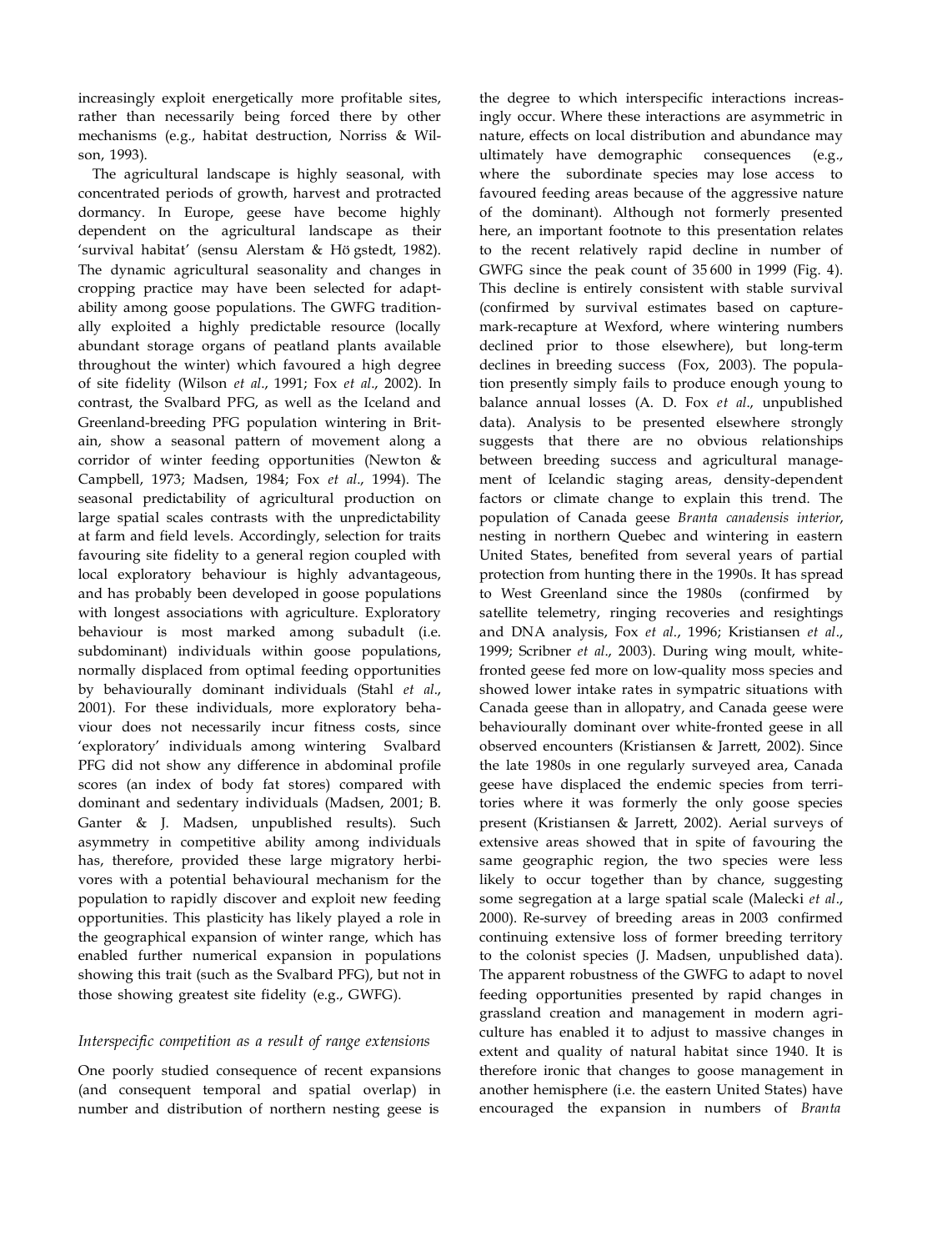increasingly exploit energetically more profitable sites, rather than necessarily being forced there by other mechanisms (e.g., habitat destruction, Norriss & Wilson, 1993).

The agricultural landscape is highly seasonal, with concentrated periods of growth, harvest and protracted dormancy. In Europe, geese have become highly dependent on the agricultural landscape as their 'survival habitat' (sensu Alerstam & Hö gstedt, 1982). The dynamic agricultural seasonality and changes in cropping practice may have been selected for adaptability among goose populations. The GWFG traditionally exploited a highly predictable resource (locally abundant storage organs of peatland plants available throughout the winter) which favoured a high degree of site fidelity (Wilson *et al*., 1991; Fox *et al*., 2002). In contrast, the Svalbard PFG, as well as the Iceland and Greenland-breeding PFG population wintering in Britain, show a seasonal pattern of movement along a corridor of winter feeding opportunities (Newton & Campbell, 1973; Madsen, 1984; Fox *et al*., 1994). The seasonal predictability of agricultural production on large spatial scales contrasts with the unpredictability at farm and field levels. Accordingly, selection for traits favouring site fidelity to a general region coupled with local exploratory behaviour is highly advantageous, and has probably been developed in goose populations with longest associations with agriculture. Exploratory behaviour is most marked among subadult (i.e. subdominant) individuals within goose populations, normally displaced from optimal feeding opportunities by behaviourally dominant individuals (Stahl *et al*., 2001). For these individuals, more exploratory behaviour does not necessarily incur fitness costs, since 'exploratory' individuals among wintering Svalbard PFG did not show any difference in abdominal profile scores (an index of body fat stores) compared with dominant and sedentary individuals (Madsen, 2001; B. Ganter & J. Madsen, unpublished results). Such asymmetry in competitive ability among individuals has, therefore, provided these large migratory herbivores with a potential behavioural mechanism for the population to rapidly discover and exploit new feeding opportunities. This plasticity has likely played a role in the geographical expansion of winter range, which has enabled further numerical expansion in populations showing this trait (such as the Svalbard PFG), but not in those showing greatest site fidelity (e.g., GWFG).

# *Interspecific competition as a result of range extensions*

One poorly studied consequence of recent expansions (and consequent temporal and spatial overlap) in number and distribution of northern nesting geese is

the degree to which interspecific interactions increasingly occur. Where these interactions are asymmetric in nature, effects on local distribution and abundance may ultimately have demographic consequences (e.g., where the subordinate species may lose access to favoured feeding areas because of the aggressive nature of the dominant). Although not formerly presented here, an important footnote to this presentation relates to the recent relatively rapid decline in number of GWFG since the peak count of 35 600 in 1999 (Fig. 4). This decline is entirely consistent with stable survival (confirmed by survival estimates based on capturemark-recapture at Wexford, where wintering numbers declined prior to those elsewhere), but long-term declines in breeding success (Fox, 2003). The population presently simply fails to produce enough young to balance annual losses (A. D. Fox *et al*., unpublished data). Analysis to be presented elsewhere strongly suggests that there are no obvious relationships between breeding success and agricultural management of Icelandic staging areas, density-dependent factors or climate change to explain this trend. The population of Canada geese *Branta canadensis interior*, nesting in northern Quebec and wintering in eastern United States, benefited from several years of partial protection from hunting there in the 1990s. It has spread to West Greenland since the 1980s (confirmed by satellite telemetry, ringing recoveries and resightings and DNA analysis, Fox *et al*., 1996; Kristiansen *et al*., 1999; Scribner *et al*., 2003). During wing moult, whitefronted geese fed more on low-quality moss species and showed lower intake rates in sympatric situations with Canada geese than in allopatry, and Canada geese were behaviourally dominant over white-fronted geese in all observed encounters (Kristiansen & Jarrett, 2002). Since the late 1980s in one regularly surveyed area, Canada geese have displaced the endemic species from territories where it was formerly the only goose species present (Kristiansen & Jarrett, 2002). Aerial surveys of extensive areas showed that in spite of favouring the same geographic region, the two species were less likely to occur together than by chance, suggesting some segregation at a large spatial scale (Malecki *et al*., 2000). Re-survey of breeding areas in 2003 confirmed continuing extensive loss of former breeding territory to the colonist species (J. Madsen, unpublished data). The apparent robustness of the GWFG to adapt to novel feeding opportunities presented by rapid changes in grassland creation and management in modern agriculture has enabled it to adjust to massive changes in extent and quality of natural habitat since 1940. It is therefore ironic that changes to goose management in another hemisphere (i.e. the eastern United States) have encouraged the expansion in numbers of *Branta*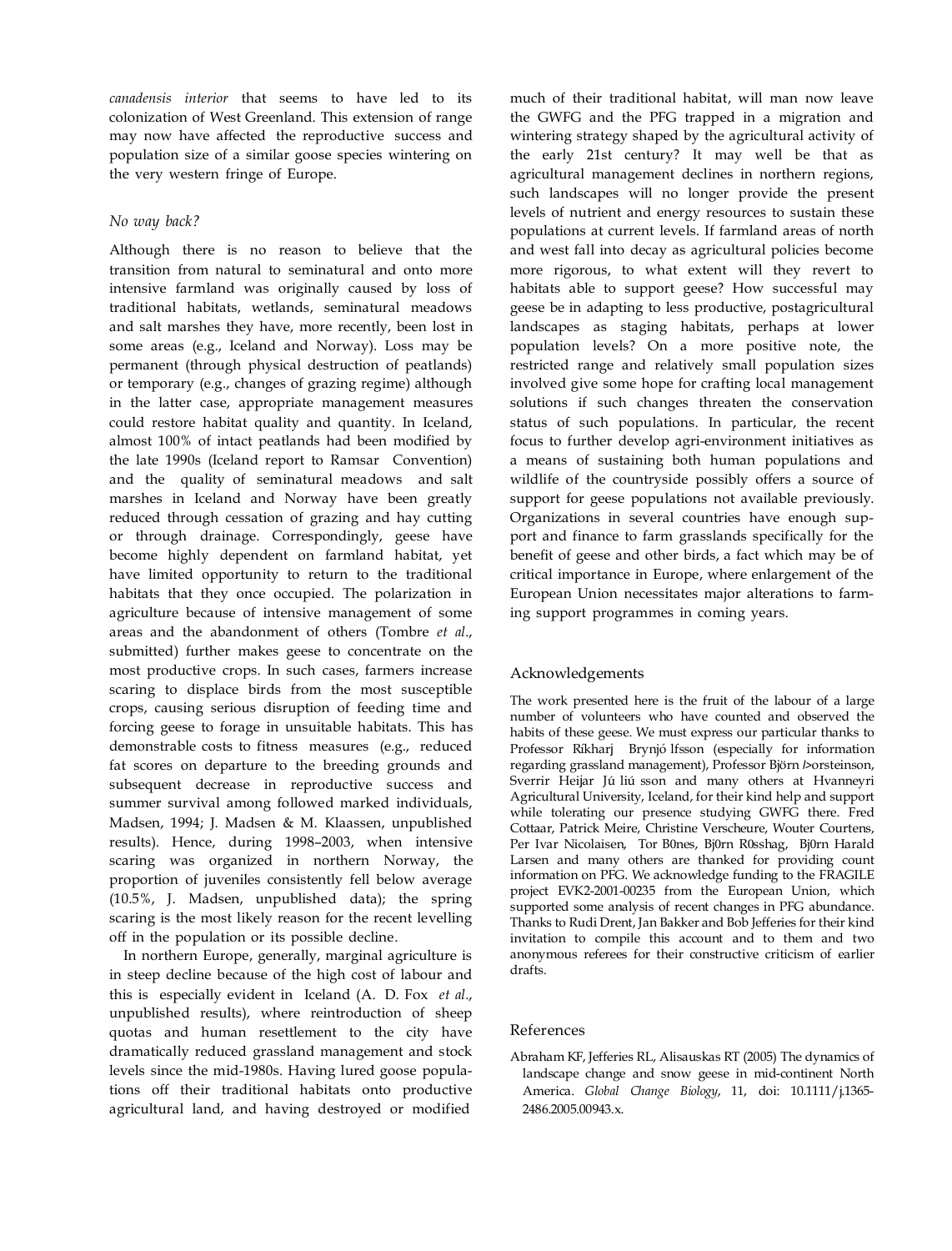*canadensis interior* that seems to have led to its colonization of West Greenland. This extension of range may now have affected the reproductive success and population size of a similar goose species wintering on the very western fringe of Europe.

## *No way back?*

Although there is no reason to believe that the transition from natural to seminatural and onto more intensive farmland was originally caused by loss of traditional habitats, wetlands, seminatural meadows and salt marshes they have, more recently, been lost in some areas (e.g., Iceland and Norway). Loss may be permanent (through physical destruction of peatlands) or temporary (e.g., changes of grazing regime) although in the latter case, appropriate management measures could restore habitat quality and quantity. In Iceland, almost 100% of intact peatlands had been modified by the late 1990s (Iceland report to Ramsar Convention) and the quality of seminatural meadows and salt marshes in Iceland and Norway have been greatly reduced through cessation of grazing and hay cutting or through drainage. Correspondingly, geese have become highly dependent on farmland habitat, yet have limited opportunity to return to the traditional habitats that they once occupied. The polarization in agriculture because of intensive management of some areas and the abandonment of others (Tombre *et al*., submitted) further makes geese to concentrate on the most productive crops. In such cases, farmers increase scaring to displace birds from the most susceptible crops, causing serious disruption of feeding time and forcing geese to forage in unsuitable habitats. This has demonstrable costs to fitness measures (e.g., reduced fat scores on departure to the breeding grounds and subsequent decrease in reproductive success and summer survival among followed marked individuals, Madsen, 1994; J. Madsen & M. Klaassen, unpublished results). Hence, during 1998–2003, when intensive scaring was organized in northern Norway, the proportion of juveniles consistently fell below average (10.5%, J. Madsen, unpublished data); the spring scaring is the most likely reason for the recent levelling off in the population or its possible decline.

In northern Europe, generally, marginal agriculture is in steep decline because of the high cost of labour and this is especially evident in Iceland (A. D. Fox *et al*., unpublished results), where reintroduction of sheep quotas and human resettlement to the city have dramatically reduced grassland management and stock levels since the mid-1980s. Having lured goose populations off their traditional habitats onto productive agricultural land, and having destroyed or modified much of their traditional habitat, will man now leave the GWFG and the PFG trapped in a migration and wintering strategy shaped by the agricultural activity of the early 21st century? It may well be that as agricultural management declines in northern regions, such landscapes will no longer provide the present levels of nutrient and energy resources to sustain these populations at current levels. If farmland areas of north and west fall into decay as agricultural policies become more rigorous, to what extent will they revert to habitats able to support geese? How successful may geese be in adapting to less productive, postagricultural landscapes as staging habitats, perhaps at lower population levels? On a more positive note, the restricted range and relatively small population sizes involved give some hope for crafting local management solutions if such changes threaten the conservation status of such populations. In particular, the recent focus to further develop agri-environment initiatives as a means of sustaining both human populations and wildlife of the countryside possibly offers a source of support for geese populations not available previously. Organizations in several countries have enough support and finance to farm grasslands specifically for the benefit of geese and other birds, a fact which may be of critical importance in Europe, where enlargement of the European Union necessitates major alterations to farming support programmes in coming years.

#### Acknowledgements

The work presented here is the fruit of the labour of a large number of volunteers who have counted and observed the habits of these geese. We must express our particular thanks to Professor Ríkharj Brynjó lfsson (especially for information regarding grassland management), Professor Björn *l*>orsteinson, Sverrir Heijar Jú liú sson and many others at Hvanneyri Agricultural University, Iceland, for their kind help and support while tolerating our presence studying GWFG there. Fred Cottaar, Patrick Meire, Christine Verscheure, Wouter Courtens, Per Ivar Nicolaisen, Tor B0nes, Bj0rn R0sshag, Bj0rn Harald Larsen and many others are thanked for providing count information on PFG. We acknowledge funding to the FRAGILE project EVK2-2001-00235 from the European Union, which supported some analysis of recent changes in PFG abundance. Thanks to Rudi Drent, Jan Bakker and Bob Jefferies for their kind invitation to compile this account and to them and two anonymous referees for their constructive criticism of earlier drafts.

#### References

Abraham KF, Jefferies RL, Alisauskas RT (2005) The dynamics of landscape change and snow geese in mid-continent North America. *Global Change Biology*, 11, doi: 10.1111/j.1365- 2486.2005.00943.x.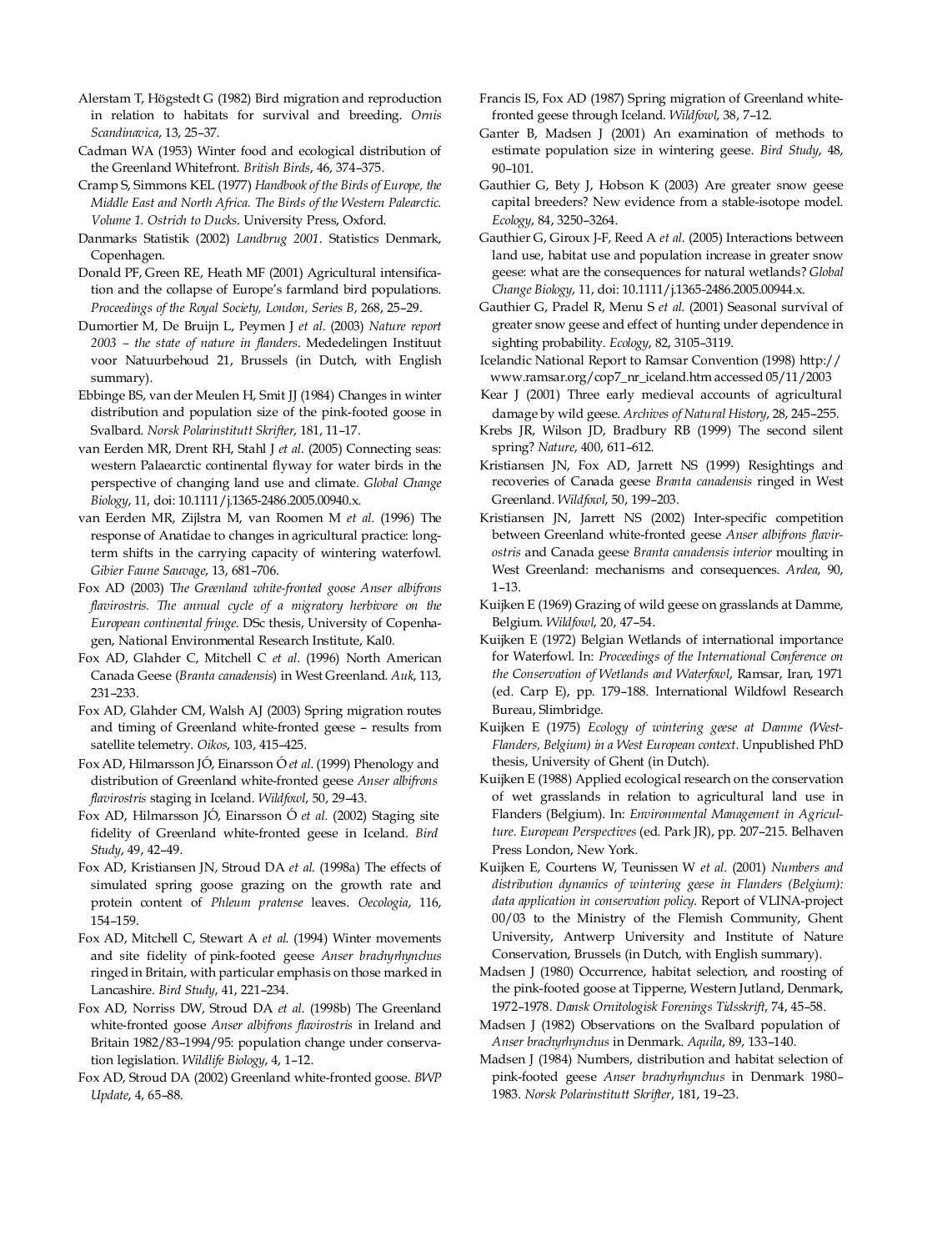- Alerstam T, Högstedt G (1982) Bird migration and reproduction in relation to habitats for survival and breeding. *Ornis Scandinavica*, 13, 25–37.
- Cadman WA (1953) Winter food and ecological distribution of the Greenland Whitefront. *British Birds*, 46, 374–375.
- Cramp S, Simmons KEL (1977) *Handbook of the Birds of Europe, the Middle East and North Africa. The Birds of the Western Palearctic. Volume 1. Ostrich to Ducks*. University Press, Oxford.
- Danmarks Statistik (2002) *Landbrug 2001*. Statistics Denmark, Copenhagen.
- Donald PF, Green RE, Heath MF (2001) Agricultural intensification and the collapse of Europe's farmland bird populations. *Proceedings of the Royal Society, London, Series B*, 268, 25–29.
- Dumortier M, De Bruijn L, Peymen J *et al*. (2003) *Nature report 2003 – the state of nature in flanders*. Mededelingen Instituut voor Natuurbehoud 21, Brussels (in Dutch, with English summary).
- Ebbinge BS, van der Meulen H, Smit JJ (1984) Changes in winter distribution and population size of the pink-footed goose in Svalbard. *Norsk Polarinstitutt Skrifter*, 181, 11–17.
- van Eerden MR, Drent RH, Stahl J *et al*. (2005) Connecting seas: western Palaearctic continental flyway for water birds in the perspective of changing land use and climate. *Global Change Biology*, 11, doi: 10.1111/j.1365-2486.2005.00940.x.
- van Eerden MR, Zijlstra M, van Roomen M *et al*. (1996) The response of Anatidae to changes in agricultural practice: longterm shifts in the carrying capacity of wintering waterfowl. *Gibier Faune Sauvage*, 13, 681–706.
- Fox AD (2003) T*he Greenland white-fronted goose Anser albifrons flavirostris. The annual cycle of a migratory herbivore on the European continental fringe*. DSc thesis, University of Copenhagen, National Environmental Research Institute, Kal0.
- Fox AD, Glahder C, Mitchell C *et al*. (1996) North American Canada Geese (*Branta canadensis*) in West Greenland. *Auk*, 113, 231–233.
- Fox AD, Glahder CM, Walsh AJ (2003) Spring migration routes and timing of Greenland white-fronted geese – results from satellite telemetry. *Oikos*, 103, 415–425.
- Fox AD, Hilmarsson JÓ, Einarsson Ó *et al.* (1999) Phenology and distribution of Greenland white-fronted geese *Anser albifrons flavirostris* staging in Iceland. *Wildfowl*, 50, 29–43.
- Fox AD, Hilmarsson JÓ, Einarsson Ó *et al.* (2002) Staging site fidelity of Greenland white-fronted geese in Iceland. *Bird Study*, 49, 42–49.
- Fox AD, Kristiansen JN, Stroud DA *et al*. (1998a) The effects of simulated spring goose grazing on the growth rate and protein content of *Phleum pratense* leaves. *Oecologia*, 116, 154–159.
- Fox AD, Mitchell C, Stewart A *et al*. (1994) Winter movements and site fidelity of pink-footed geese *Anser brachyrhynchus* ringed in Britain, with particular emphasis on those marked in Lancashire. *Bird Study*, 41, 221–234.
- Fox AD, Norriss DW, Stroud DA *et al*. (1998b) The Greenland white-fronted goose *Anser albifrons flavirostris* in Ireland and Britain 1982/83–1994/95: population change under conservation legislation. *Wildlife Biology*, 4, 1–12.
- Fox AD, Stroud DA (2002) Greenland white-fronted goose. *BWP Update*, 4, 65–88.
- Francis IS, Fox AD (1987) Spring migration of Greenland whitefronted geese through Iceland. *Wildfowl*, 38, 7–12.
- Ganter B, Madsen J (2001) An examination of methods to estimate population size in wintering geese. *Bird Study*, 48, 90–101.
- Gauthier G, Bety J, Hobson K (2003) Are greater snow geese capital breeders? New evidence from a stable-isotope model. *Ecology*, 84, 3250–3264.
- Gauthier G, Giroux J-F, Reed A *et al*. (2005) Interactions between land use, habitat use and population increase in greater snow geese: what are the consequences for natural wetlands? *Global Change Biology*, 11, doi: 10.1111/j.1365-2486.2005.00944.x.
- Gauthier G, Pradel R, Menu S *et al*. (2001) Seasonal survival of greater snow geese and effect of hunting under dependence in sighting probability. *Ecology*, 82, 3105–3119.
- Icelandic National Report to Ramsar Convention (1998) http:/[/](http://www.ramsar.org/cop7_nr_iceland.htm) [www.ramsar.org/cop7\\_nr\\_iceland.htm](http://www.ramsar.org/cop7_nr_iceland.htm) accessed 05/11/2003
- Kear J (2001) Three early medieval accounts of agricultural damage by wild geese. *Archives of Natural History*, 28, 245–255.
- Krebs JR, Wilson JD, Bradbury RB (1999) The second silent spring? *Nature*, 400, 611–612.
- Kristiansen JN, Fox AD, Jarrett NS (1999) Resightings and recoveries of Canada geese *Branta canadensis* ringed in West Greenland. *Wildfowl*, 50, 199–203.
- Kristiansen JN, Jarrett NS (2002) Inter-specific competition between Greenland white-fronted geese *Anser albifrons flavirostris* and Canada geese *Branta canadensis interior* moulting in West Greenland: mechanisms and consequences. *Ardea*, 90, 1–13.
- Kuijken E (1969) Grazing of wild geese on grasslands at Damme, Belgium. *Wildfowl*, 20, 47–54.
- Kuijken E (1972) Belgian Wetlands of international importance for Waterfowl. In: *Proceedings of the International Conference on the Conservation of Wetlands and Waterfowl*, Ramsar, Iran, 1971 (ed. Carp E), pp. 179–188. International Wildfowl Research Bureau, Slimbridge.
- Kuijken E (1975) *Ecology of wintering geese at Damme (West-Flanders, Belgium) in a West European context*. Unpublished PhD thesis, University of Ghent (in Dutch).
- Kuijken E (1988) Applied ecological research on the conservation of wet grasslands in relation to agricultural land use in Flanders (Belgium). In: *Environmental Management in Agriculture. European Perspectives* (ed. Park JR), pp. 207–215. Belhaven Press London, New York.
- Kuijken E, Courtens W, Teunissen W *et al*. (2001) *Numbers and distribution dynamics of wintering geese in Flanders (Belgium): data application in conservation policy*. Report of VLINA-project 00/03 to the Ministry of the Flemish Community, Ghent University, Antwerp University and Institute of Nature Conservation, Brussels (in Dutch, with English summary).
- Madsen J (1980) Occurrence, habitat selection, and roosting of the pink-footed goose at Tipperne, Western Jutland, Denmark, 1972–1978. *Dansk Ornitologisk Forenings Tidsskrift*, 74, 45–58.
- Madsen J (1982) Observations on the Svalbard population of *Anser brachyrhynchus* in Denmark. *Aquila*, 89, 133–140.
- Madsen J (1984) Numbers, distribution and habitat selection of pink-footed geese *Anser brachyrhynchus* in Denmark 1980– 1983. *Norsk Polarinstitutt Skrifter*, 181, 19–23.